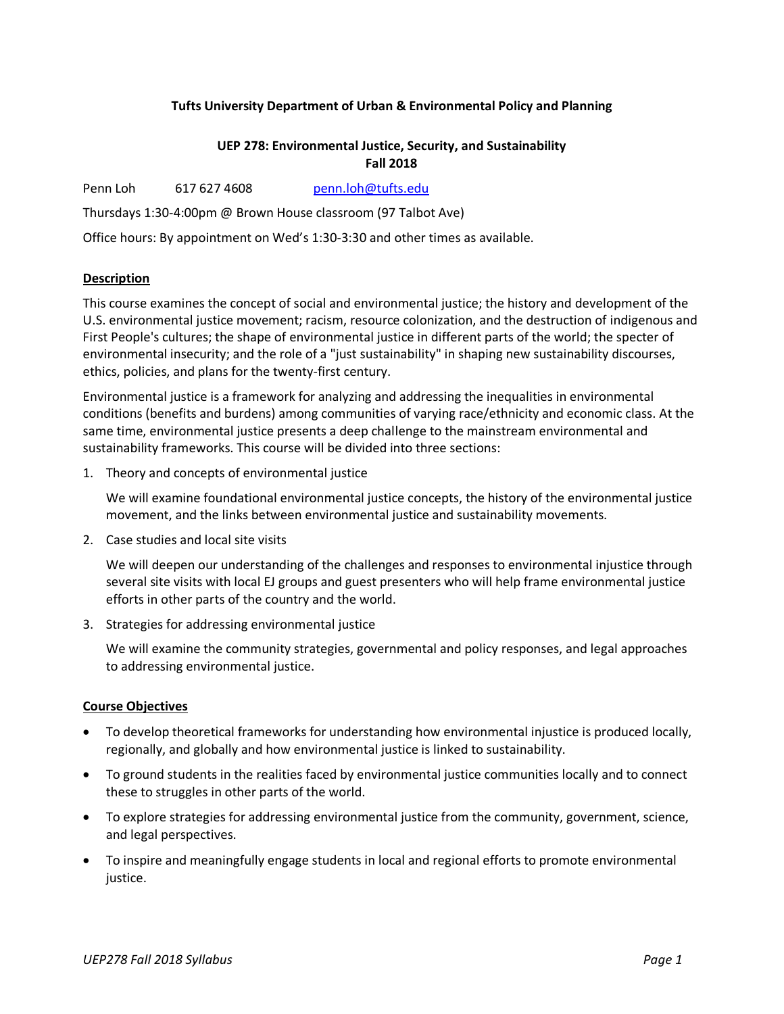# **Tufts University Department of Urban & Environmental Policy and Planning**

# **UEP 278: Environmental Justice, Security, and Sustainability Fall 2018**

Penn Loh 617 627 4608 penn.loh@tufts.edu

Thursdays 1:30-4:00pm @ Brown House classroom (97 Talbot Ave)

Office hours: By appointment on Wed's 1:30-3:30 and other times as available.

# **Description**

This course examines the concept of social and environmental justice; the history and development of the U.S. environmental justice movement; racism, resource colonization, and the destruction of indigenous and First People's cultures; the shape of environmental justice in different parts of the world; the specter of environmental insecurity; and the role of a "just sustainability" in shaping new sustainability discourses, ethics, policies, and plans for the twenty-first century.

Environmental justice is a framework for analyzing and addressing the inequalities in environmental conditions (benefits and burdens) among communities of varying race/ethnicity and economic class. At the same time, environmental justice presents a deep challenge to the mainstream environmental and sustainability frameworks. This course will be divided into three sections:

1. Theory and concepts of environmental justice

We will examine foundational environmental justice concepts, the history of the environmental justice movement, and the links between environmental justice and sustainability movements.

2. Case studies and local site visits

We will deepen our understanding of the challenges and responses to environmental injustice through several site visits with local EJ groups and guest presenters who will help frame environmental justice efforts in other parts of the country and the world.

3. Strategies for addressing environmental justice

We will examine the community strategies, governmental and policy responses, and legal approaches to addressing environmental justice.

#### **Course Objectives**

- To develop theoretical frameworks for understanding how environmental injustice is produced locally, regionally, and globally and how environmental justice is linked to sustainability.
- To ground students in the realities faced by environmental justice communities locally and to connect these to struggles in other parts of the world.
- To explore strategies for addressing environmental justice from the community, government, science, and legal perspectives.
- To inspire and meaningfully engage students in local and regional efforts to promote environmental justice.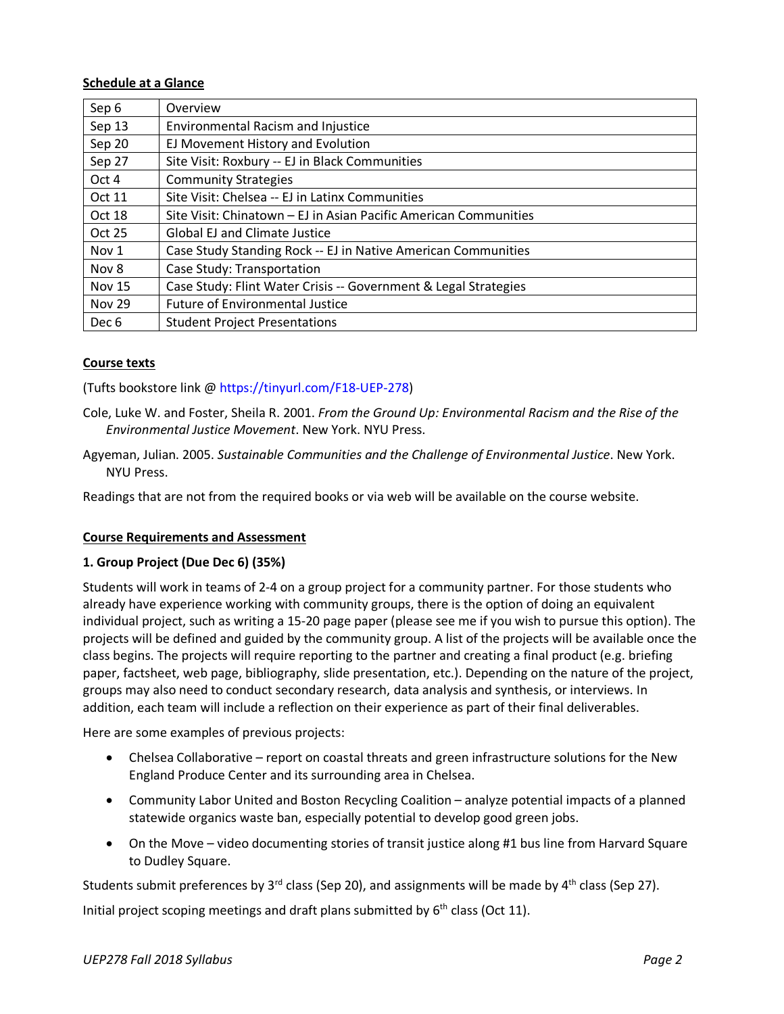# **Schedule at a Glance**

| Sep 6            | Overview                                                         |
|------------------|------------------------------------------------------------------|
| Sep 13           | <b>Environmental Racism and Injustice</b>                        |
| Sep 20           | EJ Movement History and Evolution                                |
| Sep 27           | Site Visit: Roxbury -- EJ in Black Communities                   |
| Oct 4            | <b>Community Strategies</b>                                      |
| Oct 11           | Site Visit: Chelsea -- EJ in Latinx Communities                  |
| Oct 18           | Site Visit: Chinatown – EJ in Asian Pacific American Communities |
| Oct 25           | <b>Global EJ and Climate Justice</b>                             |
| Nov <sub>1</sub> | Case Study Standing Rock -- EJ in Native American Communities    |
| Nov 8            | Case Study: Transportation                                       |
| <b>Nov 15</b>    | Case Study: Flint Water Crisis -- Government & Legal Strategies  |
| <b>Nov 29</b>    | <b>Future of Environmental Justice</b>                           |
| Dec 6            | <b>Student Project Presentations</b>                             |

### **Course texts**

(Tufts bookstore link @ https://tinyurl.com/F18-UEP-278)

- Cole, Luke W. and Foster, Sheila R. 2001. *From the Ground Up: Environmental Racism and the Rise of the Environmental Justice Movement*. New York. NYU Press.
- Agyeman, Julian. 2005. *Sustainable Communities and the Challenge of Environmental Justice*. New York. NYU Press.

Readings that are not from the required books or via web will be available on the course website.

# **Course Requirements and Assessment**

# **1. Group Project (Due Dec 6) (35%)**

Students will work in teams of 2-4 on a group project for a community partner. For those students who already have experience working with community groups, there is the option of doing an equivalent individual project, such as writing a 15-20 page paper (please see me if you wish to pursue this option). The projects will be defined and guided by the community group. A list of the projects will be available once the class begins. The projects will require reporting to the partner and creating a final product (e.g. briefing paper, factsheet, web page, bibliography, slide presentation, etc.). Depending on the nature of the project, groups may also need to conduct secondary research, data analysis and synthesis, or interviews. In addition, each team will include a reflection on their experience as part of their final deliverables.

Here are some examples of previous projects:

- Chelsea Collaborative report on coastal threats and green infrastructure solutions for the New England Produce Center and its surrounding area in Chelsea.
- Community Labor United and Boston Recycling Coalition analyze potential impacts of a planned statewide organics waste ban, especially potential to develop good green jobs.
- On the Move video documenting stories of transit justice along #1 bus line from Harvard Square to Dudley Square.

Students submit preferences by  $3^{rd}$  class (Sep 20), and assignments will be made by  $4^{th}$  class (Sep 27).

Initial project scoping meetings and draft plans submitted by  $6<sup>th</sup>$  class (Oct 11).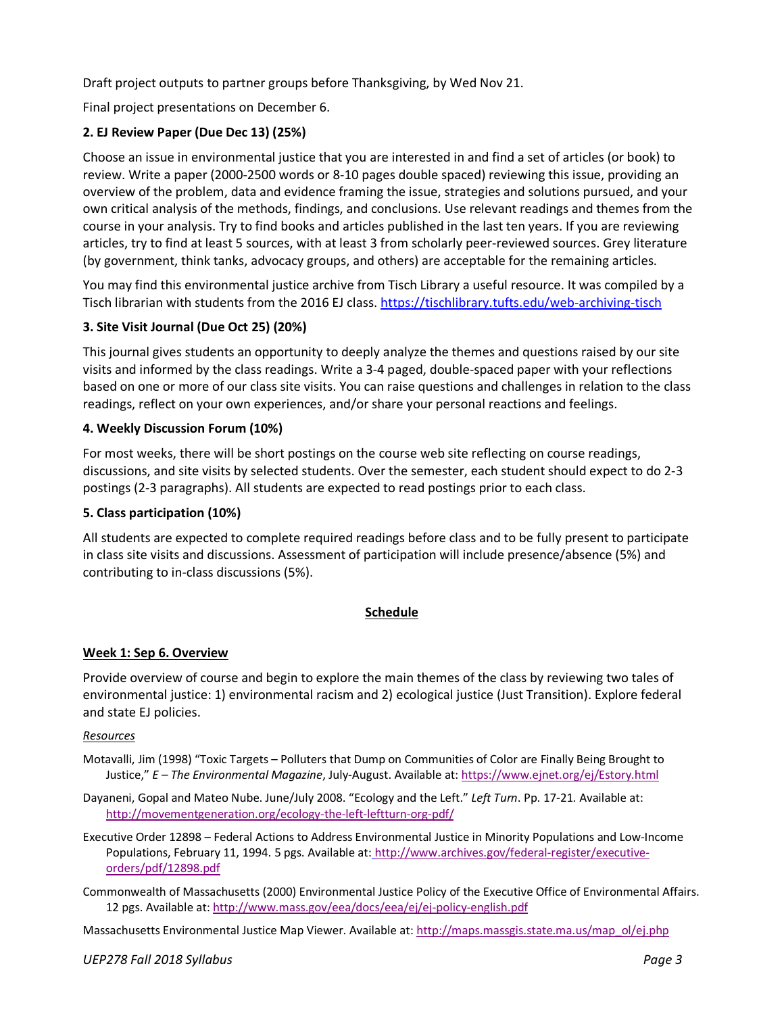Draft project outputs to partner groups before Thanksgiving, by Wed Nov 21.

Final project presentations on December 6.

# **2. EJ Review Paper (Due Dec 13) (25%)**

Choose an issue in environmental justice that you are interested in and find a set of articles (or book) to review. Write a paper (2000-2500 words or 8-10 pages double spaced) reviewing this issue, providing an overview of the problem, data and evidence framing the issue, strategies and solutions pursued, and your own critical analysis of the methods, findings, and conclusions. Use relevant readings and themes from the course in your analysis. Try to find books and articles published in the last ten years. If you are reviewing articles, try to find at least 5 sources, with at least 3 from scholarly peer-reviewed sources. Grey literature (by government, think tanks, advocacy groups, and others) are acceptable for the remaining articles.

You may find this environmental justice archive from Tisch Library a useful resource. It was compiled by a Tisch librarian with students from the 2016 EJ class. https://tischlibrary.tufts.edu/web-archiving-tisch

# **3. Site Visit Journal (Due Oct 25) (20%)**

This journal gives students an opportunity to deeply analyze the themes and questions raised by our site visits and informed by the class readings. Write a 3-4 paged, double-spaced paper with your reflections based on one or more of our class site visits. You can raise questions and challenges in relation to the class readings, reflect on your own experiences, and/or share your personal reactions and feelings.

# **4. Weekly Discussion Forum (10%)**

For most weeks, there will be short postings on the course web site reflecting on course readings, discussions, and site visits by selected students. Over the semester, each student should expect to do 2-3 postings (2-3 paragraphs). All students are expected to read postings prior to each class.

# **5. Class participation (10%)**

All students are expected to complete required readings before class and to be fully present to participate in class site visits and discussions. Assessment of participation will include presence/absence (5%) and contributing to in-class discussions (5%).

# **Schedule**

# **Week 1: Sep 6. Overview**

Provide overview of course and begin to explore the main themes of the class by reviewing two tales of environmental justice: 1) environmental racism and 2) ecological justice (Just Transition). Explore federal and state EJ policies.

# *Resources*

- Motavalli, Jim (1998) "Toxic Targets Polluters that Dump on Communities of Color are Finally Being Brought to Justice," *E – The Environmental Magazine*, July-August. Available at: https://www.ejnet.org/ej/Estory.html
- Dayaneni, Gopal and Mateo Nube. June/July 2008. "Ecology and the Left." *Left Turn*. Pp. 17-21. Available at: http://movementgeneration.org/ecology-the-left-leftturn-org-pdf/
- Executive Order 12898 Federal Actions to Address Environmental Justice in Minority Populations and Low-Income Populations, February 11, 1994. 5 pgs. Available at: http://www.archives.gov/federal-register/executiveorders/pdf/12898.pdf
- Commonwealth of Massachusetts (2000) Environmental Justice Policy of the Executive Office of Environmental Affairs. 12 pgs. Available at: http://www.mass.gov/eea/docs/eea/ej/ej-policy-english.pdf

Massachusetts Environmental Justice Map Viewer. Available at: http://maps.massgis.state.ma.us/map\_ol/ej.php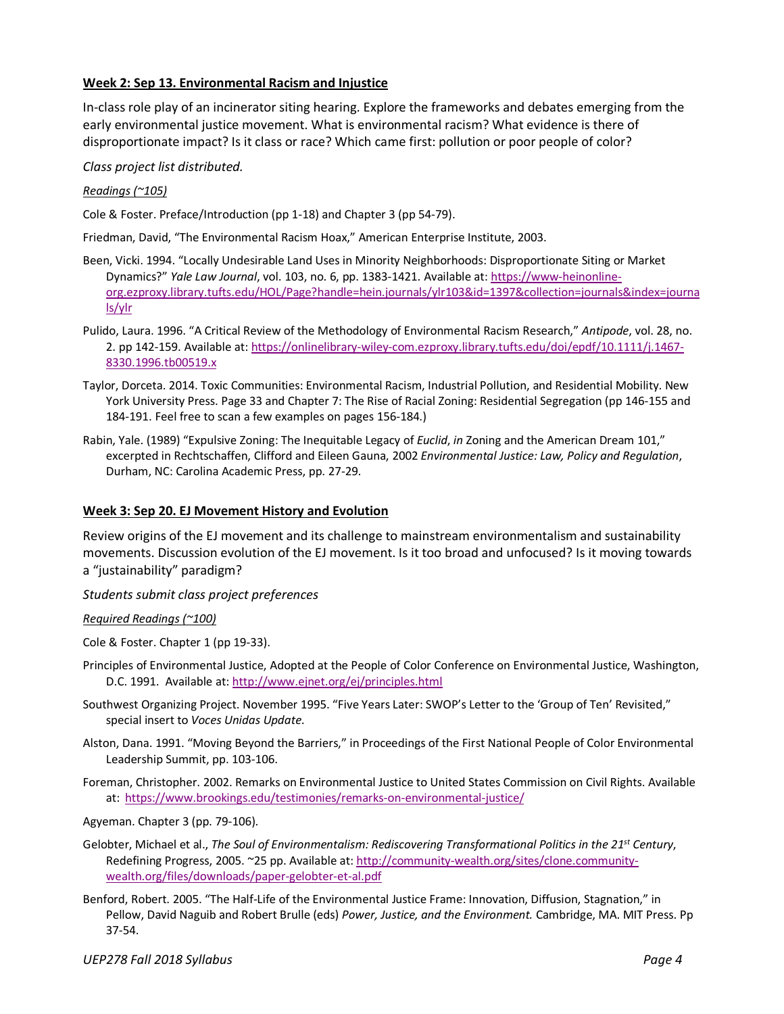### **Week 2: Sep 13. Environmental Racism and Injustice**

In-class role play of an incinerator siting hearing. Explore the frameworks and debates emerging from the early environmental justice movement. What is environmental racism? What evidence is there of disproportionate impact? Is it class or race? Which came first: pollution or poor people of color?

#### *Class project list distributed.*

#### *Readings (~105)*

Cole & Foster. Preface/Introduction (pp 1-18) and Chapter 3 (pp 54-79).

Friedman, David, "The Environmental Racism Hoax," American Enterprise Institute, 2003.

- Been, Vicki. 1994. "Locally Undesirable Land Uses in Minority Neighborhoods: Disproportionate Siting or Market Dynamics?" *Yale Law Journal*, vol. 103, no. 6, pp. 1383-1421. Available at: https://www-heinonlineorg.ezproxy.library.tufts.edu/HOL/Page?handle=hein.journals/ylr103&id=1397&collection=journals&index=journa ls/ylr
- Pulido, Laura. 1996. "A Critical Review of the Methodology of Environmental Racism Research," *Antipode*, vol. 28, no. 2. pp 142-159. Available at: https://onlinelibrary-wiley-com.ezproxy.library.tufts.edu/doi/epdf/10.1111/j.1467- 8330.1996.tb00519.x
- Taylor, Dorceta. 2014. Toxic Communities: Environmental Racism, Industrial Pollution, and Residential Mobility. New York University Press. Page 33 and Chapter 7: The Rise of Racial Zoning: Residential Segregation (pp 146-155 and 184-191. Feel free to scan a few examples on pages 156-184.)
- Rabin, Yale. (1989) "Expulsive Zoning: The Inequitable Legacy of *Euclid*, *in* Zoning and the American Dream 101," excerpted in Rechtschaffen, Clifford and Eileen Gauna, 2002 *Environmental Justice: Law, Policy and Regulation*, Durham, NC: Carolina Academic Press, pp. 27-29.

### **Week 3: Sep 20. EJ Movement History and Evolution**

Review origins of the EJ movement and its challenge to mainstream environmentalism and sustainability movements. Discussion evolution of the EJ movement. Is it too broad and unfocused? Is it moving towards a "justainability" paradigm?

*Students submit class project preferences*

*Required Readings (~100)*

Cole & Foster. Chapter 1 (pp 19-33).

- Principles of Environmental Justice, Adopted at the People of Color Conference on Environmental Justice, Washington, D.C. 1991. Available at: http://www.ejnet.org/ej/principles.html
- Southwest Organizing Project. November 1995. "Five Years Later: SWOP's Letter to the 'Group of Ten' Revisited," special insert to *Voces Unidas Update*.
- Alston, Dana. 1991. "Moving Beyond the Barriers," in Proceedings of the First National People of Color Environmental Leadership Summit, pp. 103-106.
- Foreman, Christopher. 2002. Remarks on Environmental Justice to United States Commission on Civil Rights. Available at: https://www.brookings.edu/testimonies/remarks-on-environmental-justice/
- Agyeman. Chapter 3 (pp. 79-106).
- Gelobter, Michael et al., *The Soul of Environmentalism: Rediscovering Transformational Politics in the 21st Century*, Redefining Progress, 2005. ~25 pp. Available at: http://community-wealth.org/sites/clone.communitywealth.org/files/downloads/paper-gelobter-et-al.pdf
- Benford, Robert. 2005. "The Half-Life of the Environmental Justice Frame: Innovation, Diffusion, Stagnation," in Pellow, David Naguib and Robert Brulle (eds) *Power, Justice, and the Environment.* Cambridge, MA. MIT Press. Pp 37-54.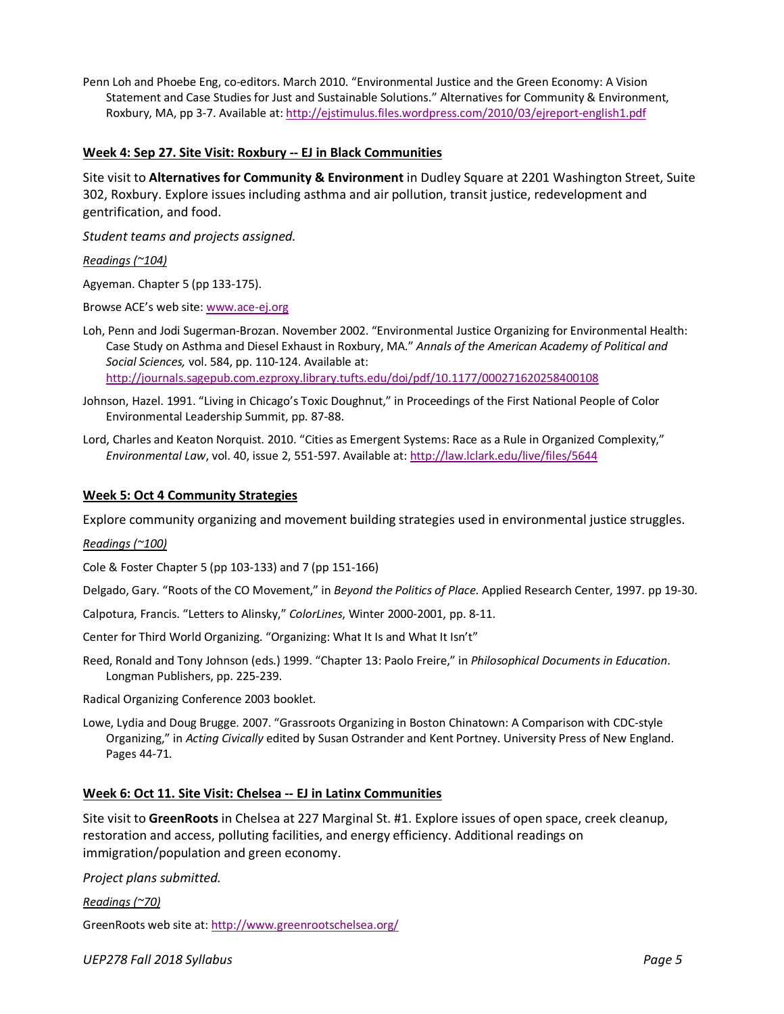Penn Loh and Phoebe Eng, co-editors. March 2010. "Environmental Justice and the Green Economy: A Vision Statement and Case Studies for Just and Sustainable Solutions." Alternatives for Community & Environment, Roxbury, MA, pp 3-7. Available at: http://ejstimulus.files.wordpress.com/2010/03/ejreport-english1.pdf

### **Week 4: Sep 27. Site Visit: Roxbury -- EJ in Black Communities**

Site visit to **Alternatives for Community & Environment** in Dudley Square at 2201 Washington Street, Suite 302, Roxbury. Explore issues including asthma and air pollution, transit justice, redevelopment and gentrification, and food.

*Student teams and projects assigned.*

#### *Readings (~104)*

Agyeman. Chapter 5 (pp 133-175).

Browse ACE's web site: www.ace-ej.org

Loh, Penn and Jodi Sugerman-Brozan. November 2002. "Environmental Justice Organizing for Environmental Health: Case Study on Asthma and Diesel Exhaust in Roxbury, MA." *Annals of the American Academy of Political and Social Sciences,* vol. 584, pp. 110-124. Available at: http://journals.sagepub.com.ezproxy.library.tufts.edu/doi/pdf/10.1177/000271620258400108

- Johnson, Hazel. 1991. "Living in Chicago's Toxic Doughnut," in Proceedings of the First National People of Color Environmental Leadership Summit, pp. 87-88.
- Lord, Charles and Keaton Norquist. 2010. "Cities as Emergent Systems: Race as a Rule in Organized Complexity," *Environmental Law*, vol. 40, issue 2, 551-597. Available at: http://law.lclark.edu/live/files/5644

### **Week 5: Oct 4 Community Strategies**

Explore community organizing and movement building strategies used in environmental justice struggles.

#### *Readings (~100)*

Cole & Foster Chapter 5 (pp 103-133) and 7 (pp 151-166)

Delgado, Gary. "Roots of the CO Movement," in *Beyond the Politics of Place*. Applied Research Center, 1997. pp 19-30.

Calpotura, Francis. "Letters to Alinsky," *ColorLines*, Winter 2000-2001, pp. 8-11.

Center for Third World Organizing. "Organizing: What It Is and What It Isn't"

Reed, Ronald and Tony Johnson (eds.) 1999. "Chapter 13: Paolo Freire," in *Philosophical Documents in Education*. Longman Publishers, pp. 225-239.

Radical Organizing Conference 2003 booklet.

Lowe, Lydia and Doug Brugge. 2007. "Grassroots Organizing in Boston Chinatown: A Comparison with CDC-style Organizing," in *Acting Civically* edited by Susan Ostrander and Kent Portney. University Press of New England. Pages 44-71.

#### **Week 6: Oct 11. Site Visit: Chelsea -- EJ in Latinx Communities**

Site visit to **GreenRoots** in Chelsea at 227 Marginal St. #1. Explore issues of open space, creek cleanup, restoration and access, polluting facilities, and energy efficiency. Additional readings on immigration/population and green economy.

*Project plans submitted.*

*Readings (~70)*

GreenRoots web site at: http://www.greenrootschelsea.org/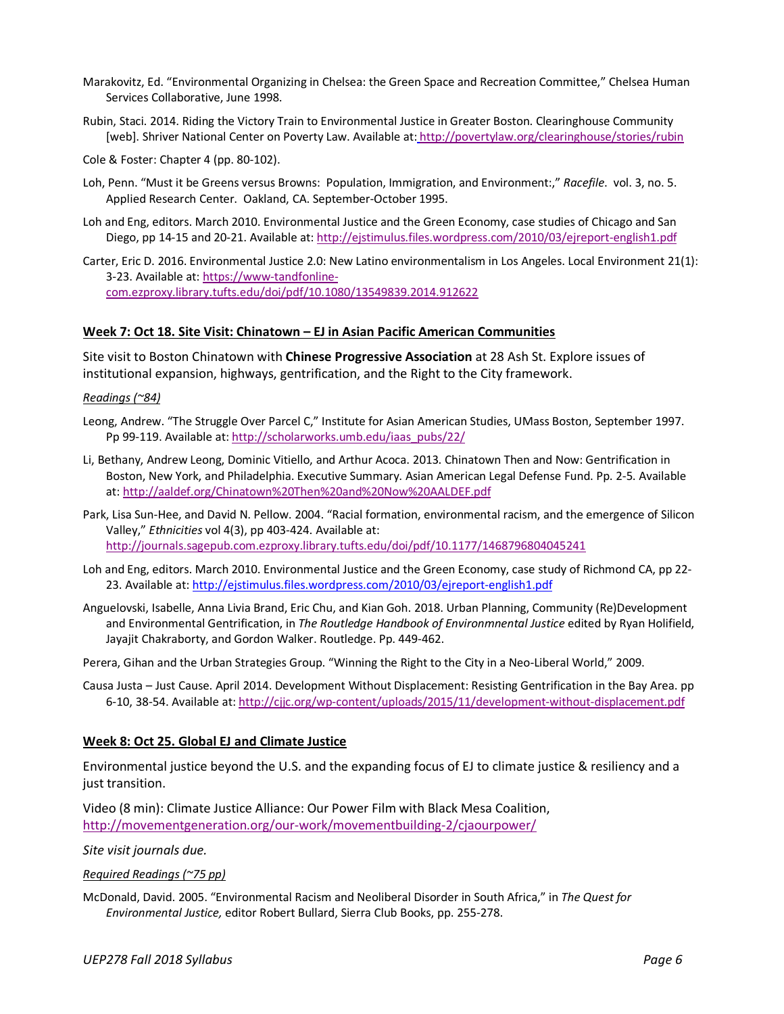- Marakovitz, Ed. "Environmental Organizing in Chelsea: the Green Space and Recreation Committee," Chelsea Human Services Collaborative, June 1998.
- Rubin, Staci. 2014. Riding the Victory Train to Environmental Justice in Greater Boston. Clearinghouse Community [web]. Shriver National Center on Poverty Law. Available at: http://povertylaw.org/clearinghouse/stories/rubin

Cole & Foster: Chapter 4 (pp. 80-102).

- Loh, Penn. "Must it be Greens versus Browns: Population, Immigration, and Environment:," *Racefile*. vol. 3, no. 5. Applied Research Center. Oakland, CA. September-October 1995.
- Loh and Eng, editors. March 2010. Environmental Justice and the Green Economy, case studies of Chicago and San Diego, pp 14-15 and 20-21. Available at: http://ejstimulus.files.wordpress.com/2010/03/ejreport-english1.pdf

Carter, Eric D. 2016. Environmental Justice 2.0: New Latino environmentalism in Los Angeles. Local Environment 21(1): 3-23. Available at: https://www-tandfonlinecom.ezproxy.library.tufts.edu/doi/pdf/10.1080/13549839.2014.912622

#### **Week 7: Oct 18. Site Visit: Chinatown – EJ in Asian Pacific American Communities**

Site visit to Boston Chinatown with **Chinese Progressive Association** at 28 Ash St. Explore issues of institutional expansion, highways, gentrification, and the Right to the City framework.

#### *Readings (~84)*

- Leong, Andrew. "The Struggle Over Parcel C," Institute for Asian American Studies, UMass Boston, September 1997. Pp 99-119. Available at: http://scholarworks.umb.edu/iaas\_pubs/22/
- Li, Bethany, Andrew Leong, Dominic Vitiello, and Arthur Acoca. 2013. Chinatown Then and Now: Gentrification in Boston, New York, and Philadelphia. Executive Summary. Asian American Legal Defense Fund. Pp. 2-5. Available at: http://aaldef.org/Chinatown%20Then%20and%20Now%20AALDEF.pdf
- Park, Lisa Sun-Hee, and David N. Pellow. 2004. "Racial formation, environmental racism, and the emergence of Silicon Valley," *Ethnicities* vol 4(3), pp 403-424. Available at: http://journals.sagepub.com.ezproxy.library.tufts.edu/doi/pdf/10.1177/1468796804045241
- Loh and Eng, editors. March 2010. Environmental Justice and the Green Economy, case study of Richmond CA, pp 22- 23. Available at: http://ejstimulus.files.wordpress.com/2010/03/ejreport-english1.pdf
- Anguelovski, Isabelle, Anna Livia Brand, Eric Chu, and Kian Goh. 2018. Urban Planning, Community (Re)Development and Environmental Gentrification, in *The Routledge Handbook of Environmnental Justice* edited by Ryan Holifield, Jayajit Chakraborty, and Gordon Walker. Routledge. Pp. 449-462.
- Perera, Gihan and the Urban Strategies Group. "Winning the Right to the City in a Neo-Liberal World," 2009.
- Causa Justa Just Cause. April 2014. Development Without Displacement: Resisting Gentrification in the Bay Area. pp 6-10, 38-54. Available at: http://cjjc.org/wp-content/uploads/2015/11/development-without-displacement.pdf

#### **Week 8: Oct 25. Global EJ and Climate Justice**

Environmental justice beyond the U.S. and the expanding focus of EJ to climate justice & resiliency and a just transition.

Video (8 min): Climate Justice Alliance: Our Power Film with Black Mesa Coalition, http://movementgeneration.org/our-work/movementbuilding-2/cjaourpower/

*Site visit journals due.*

*Required Readings (~75 pp)*

McDonald, David. 2005. "Environmental Racism and Neoliberal Disorder in South Africa," in *The Quest for Environmental Justice,* editor Robert Bullard, Sierra Club Books, pp. 255-278.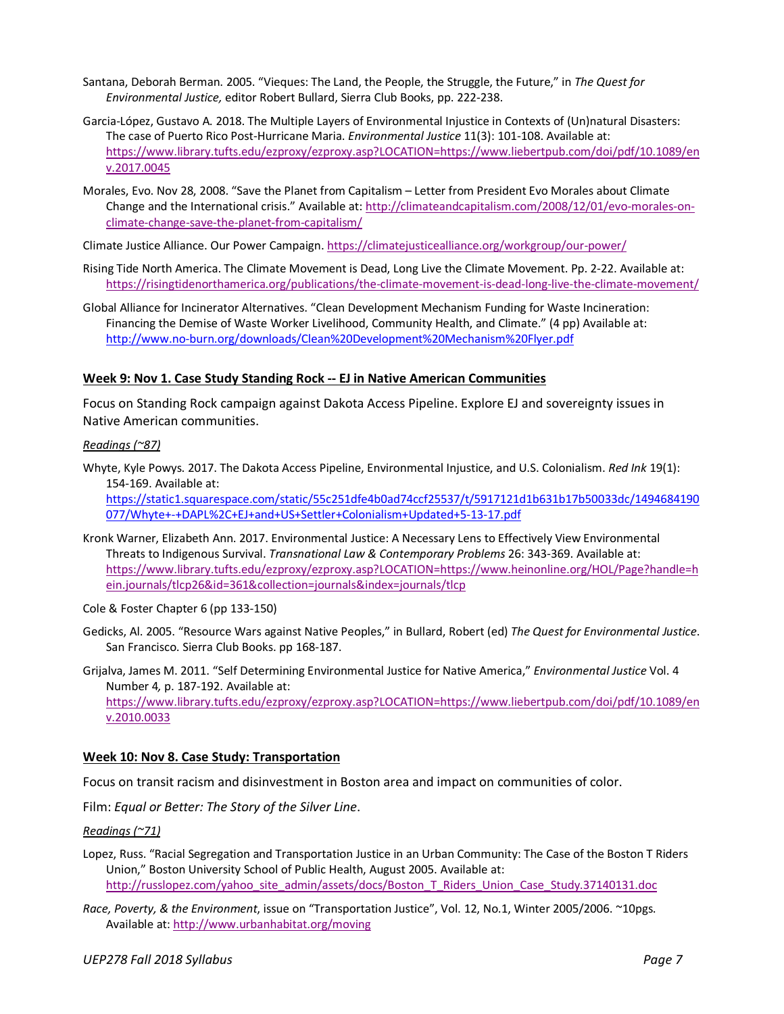- Santana, Deborah Berman. 2005. "Vieques: The Land, the People, the Struggle, the Future," in *The Quest for Environmental Justice,* editor Robert Bullard, Sierra Club Books, pp. 222-238.
- Garcia-López, Gustavo A. 2018. The Multiple Layers of Environmental Injustice in Contexts of (Un)natural Disasters: The case of Puerto Rico Post-Hurricane Maria. *Environmental Justice* 11(3): 101-108. Available at: https://www.library.tufts.edu/ezproxy/ezproxy.asp?LOCATION=https://www.liebertpub.com/doi/pdf/10.1089/en v.2017.0045
- Morales, Evo. Nov 28, 2008. "Save the Planet from Capitalism Letter from President Evo Morales about Climate Change and the International crisis." Available at: http://climateandcapitalism.com/2008/12/01/evo-morales-onclimate-change-save-the-planet-from-capitalism/

Climate Justice Alliance. Our Power Campaign. https://climatejusticealliance.org/workgroup/our-power/

- Rising Tide North America. The Climate Movement is Dead, Long Live the Climate Movement. Pp. 2-22. Available at: https://risingtidenorthamerica.org/publications/the-climate-movement-is-dead-long-live-the-climate-movement/
- Global Alliance for Incinerator Alternatives. "Clean Development Mechanism Funding for Waste Incineration: Financing the Demise of Waste Worker Livelihood, Community Health, and Climate." (4 pp) Available at: http://www.no-burn.org/downloads/Clean%20Development%20Mechanism%20Flyer.pdf

#### **Week 9: Nov 1. Case Study Standing Rock -- EJ in Native American Communities**

Focus on Standing Rock campaign against Dakota Access Pipeline. Explore EJ and sovereignty issues in Native American communities.

#### *Readings (~87)*

Whyte, Kyle Powys. 2017. The Dakota Access Pipeline, Environmental Injustice, and U.S. Colonialism. *Red Ink* 19(1): 154-169. Available at:

https://static1.squarespace.com/static/55c251dfe4b0ad74ccf25537/t/5917121d1b631b17b50033dc/1494684190 077/Whyte+-+DAPL%2C+EJ+and+US+Settler+Colonialism+Updated+5-13-17.pdf

Kronk Warner, Elizabeth Ann. 2017. Environmental Justice: A Necessary Lens to Effectively View Environmental Threats to Indigenous Survival. *Transnational Law & Contemporary Problems* 26: 343-369. Available at: https://www.library.tufts.edu/ezproxy/ezproxy.asp?LOCATION=https://www.heinonline.org/HOL/Page?handle=h ein.journals/tlcp26&id=361&collection=journals&index=journals/tlcp

Cole & Foster Chapter 6 (pp 133-150)

- Gedicks, Al. 2005. "Resource Wars against Native Peoples," in Bullard, Robert (ed) *The Quest for Environmental Justice*. San Francisco. Sierra Club Books. pp 168-187.
- Grijalva, James M. 2011. "Self Determining Environmental Justice for Native America," *Environmental Justice* Vol. 4 Number 4*,* p. 187-192. Available at: https://www.library.tufts.edu/ezproxy/ezproxy.asp?LOCATION=https://www.liebertpub.com/doi/pdf/10.1089/en v.2010.0033

#### **Week 10: Nov 8. Case Study: Transportation**

Focus on transit racism and disinvestment in Boston area and impact on communities of color.

Film: *Equal or Better: The Story of the Silver Line*.

#### *Readings (~71)*

- Lopez, Russ. "Racial Segregation and Transportation Justice in an Urban Community: The Case of the Boston T Riders Union," Boston University School of Public Health, August 2005. Available at: http://russlopez.com/yahoo\_site\_admin/assets/docs/Boston\_T\_Riders\_Union\_Case\_Study.37140131.doc
- *Race, Poverty, & the Environment*, issue on "Transportation Justice", Vol. 12, No.1, Winter 2005/2006. ~10pgs. Available at: http://www.urbanhabitat.org/moving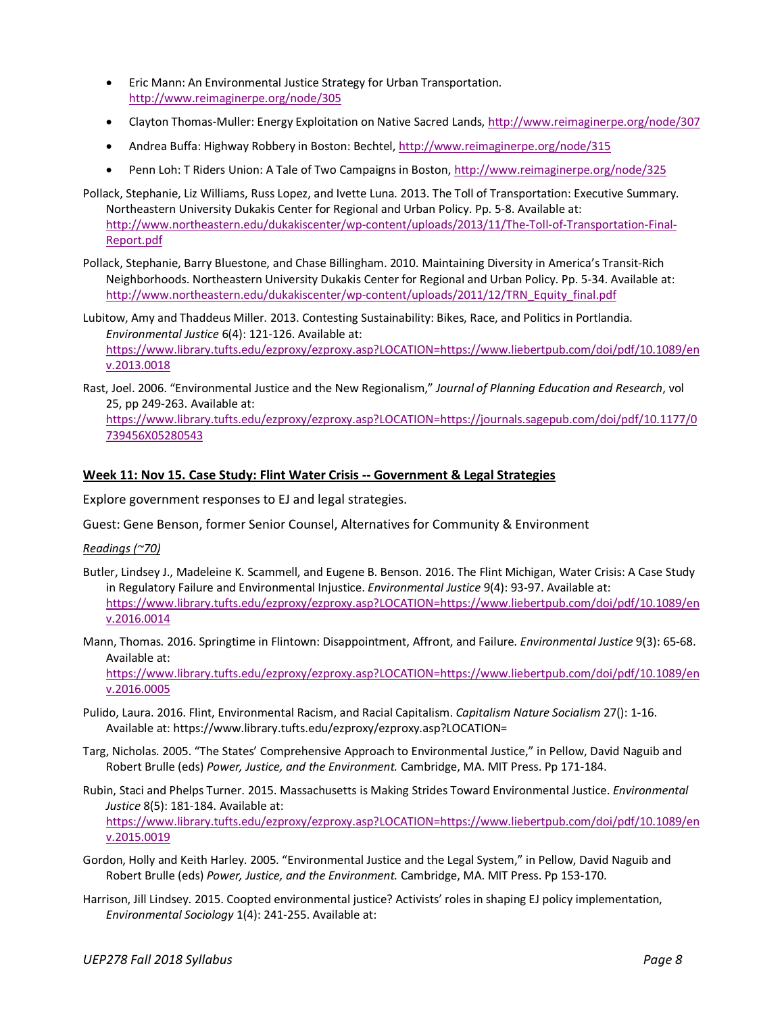- Eric Mann: An Environmental Justice Strategy for Urban Transportation. http://www.reimaginerpe.org/node/305
- Clayton Thomas-Muller: Energy Exploitation on Native Sacred Lands, http://www.reimaginerpe.org/node/307
- Andrea Buffa: Highway Robbery in Boston: Bechtel, http://www.reimaginerpe.org/node/315
- Penn Loh: T Riders Union: A Tale of Two Campaigns in Boston, http://www.reimaginerpe.org/node/325
- Pollack, Stephanie, Liz Williams, Russ Lopez, and Ivette Luna. 2013. The Toll of Transportation: Executive Summary. Northeastern University Dukakis Center for Regional and Urban Policy. Pp. 5-8. Available at: http://www.northeastern.edu/dukakiscenter/wp-content/uploads/2013/11/The-Toll-of-Transportation-Final-Report.pdf
- Pollack, Stephanie, Barry Bluestone, and Chase Billingham. 2010. Maintaining Diversity in America's Transit-Rich Neighborhoods. Northeastern University Dukakis Center for Regional and Urban Policy. Pp. 5-34. Available at: http://www.northeastern.edu/dukakiscenter/wp-content/uploads/2011/12/TRN\_Equity\_final.pdf

Lubitow, Amy and Thaddeus Miller. 2013. Contesting Sustainability: Bikes, Race, and Politics in Portlandia. *Environmental Justice* 6(4): 121-126. Available at: https://www.library.tufts.edu/ezproxy/ezproxy.asp?LOCATION=https://www.liebertpub.com/doi/pdf/10.1089/en v.2013.0018

Rast, Joel. 2006. "Environmental Justice and the New Regionalism," *Journal of Planning Education and Research*, vol 25, pp 249-263. Available at: https://www.library.tufts.edu/ezproxy/ezproxy.asp?LOCATION=https://journals.sagepub.com/doi/pdf/10.1177/0 739456X05280543

### **Week 11: Nov 15. Case Study: Flint Water Crisis -- Government & Legal Strategies**

Explore government responses to EJ and legal strategies.

Guest: Gene Benson, former Senior Counsel, Alternatives for Community & Environment

*Readings (~70)* 

- Butler, Lindsey J., Madeleine K. Scammell, and Eugene B. Benson. 2016. The Flint Michigan, Water Crisis: A Case Study in Regulatory Failure and Environmental Injustice. *Environmental Justice* 9(4): 93-97. Available at: https://www.library.tufts.edu/ezproxy/ezproxy.asp?LOCATION=https://www.liebertpub.com/doi/pdf/10.1089/en v.2016.0014
- Mann, Thomas. 2016. Springtime in Flintown: Disappointment, Affront, and Failure. *Environmental Justice* 9(3): 65-68. Available at:

https://www.library.tufts.edu/ezproxy/ezproxy.asp?LOCATION=https://www.liebertpub.com/doi/pdf/10.1089/en v.2016.0005

- Pulido, Laura. 2016. Flint, Environmental Racism, and Racial Capitalism. *Capitalism Nature Socialism* 27(): 1-16. Available at: https://www.library.tufts.edu/ezproxy/ezproxy.asp?LOCATION=
- Targ, Nicholas. 2005. "The States' Comprehensive Approach to Environmental Justice," in Pellow, David Naguib and Robert Brulle (eds) *Power, Justice, and the Environment.* Cambridge, MA. MIT Press. Pp 171-184.
- Rubin, Staci and Phelps Turner. 2015. Massachusetts is Making Strides Toward Environmental Justice. *Environmental Justice* 8(5): 181-184. Available at: https://www.library.tufts.edu/ezproxy/ezproxy.asp?LOCATION=https://www.liebertpub.com/doi/pdf/10.1089/en v.2015.0019
- Gordon, Holly and Keith Harley. 2005. "Environmental Justice and the Legal System," in Pellow, David Naguib and Robert Brulle (eds) *Power, Justice, and the Environment.* Cambridge, MA. MIT Press. Pp 153-170.
- Harrison, Jill Lindsey. 2015. Coopted environmental justice? Activists' roles in shaping EJ policy implementation, *Environmental Sociology* 1(4): 241-255. Available at: